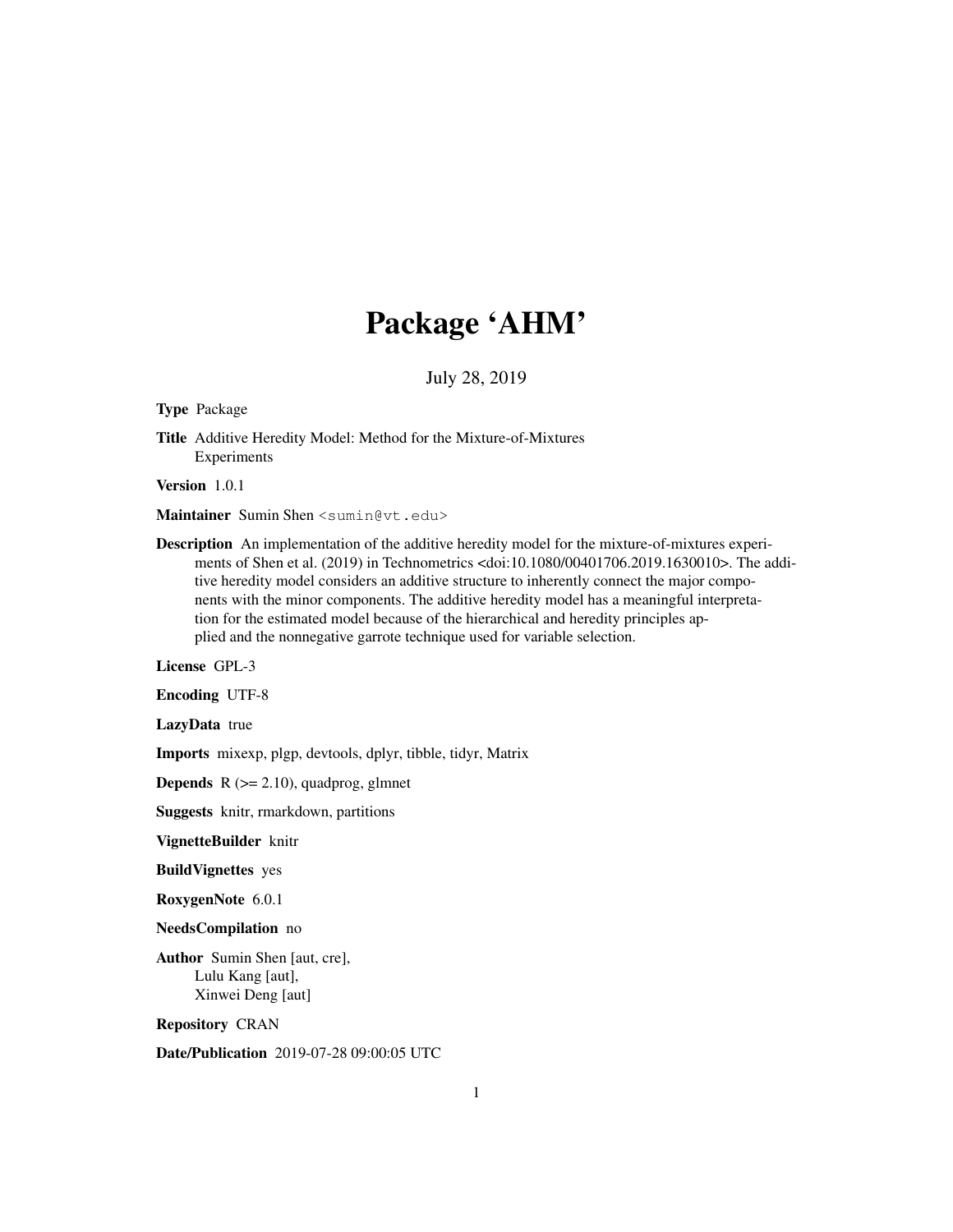# Package 'AHM'

July 28, 2019

Type Package

Title Additive Heredity Model: Method for the Mixture-of-Mixtures Experiments

Version 1.0.1

Maintainer Sumin Shen <sumin@vt.edu>

Description An implementation of the additive heredity model for the mixture-of-mixtures experiments of Shen et al. (2019) in Technometrics <doi:10.1080/00401706.2019.1630010>. The additive heredity model considers an additive structure to inherently connect the major components with the minor components. The additive heredity model has a meaningful interpretation for the estimated model because of the hierarchical and heredity principles applied and the nonnegative garrote technique used for variable selection.

License GPL-3

Encoding UTF-8

LazyData true

Imports mixexp, plgp, devtools, dplyr, tibble, tidyr, Matrix

**Depends**  $R$  ( $>= 2.10$ ), quadprog, glmnet

Suggests knitr, rmarkdown, partitions

VignetteBuilder knitr

BuildVignettes yes

RoxygenNote 6.0.1

NeedsCompilation no

Author Sumin Shen [aut, cre], Lulu Kang [aut], Xinwei Deng [aut]

Repository CRAN

Date/Publication 2019-07-28 09:00:05 UTC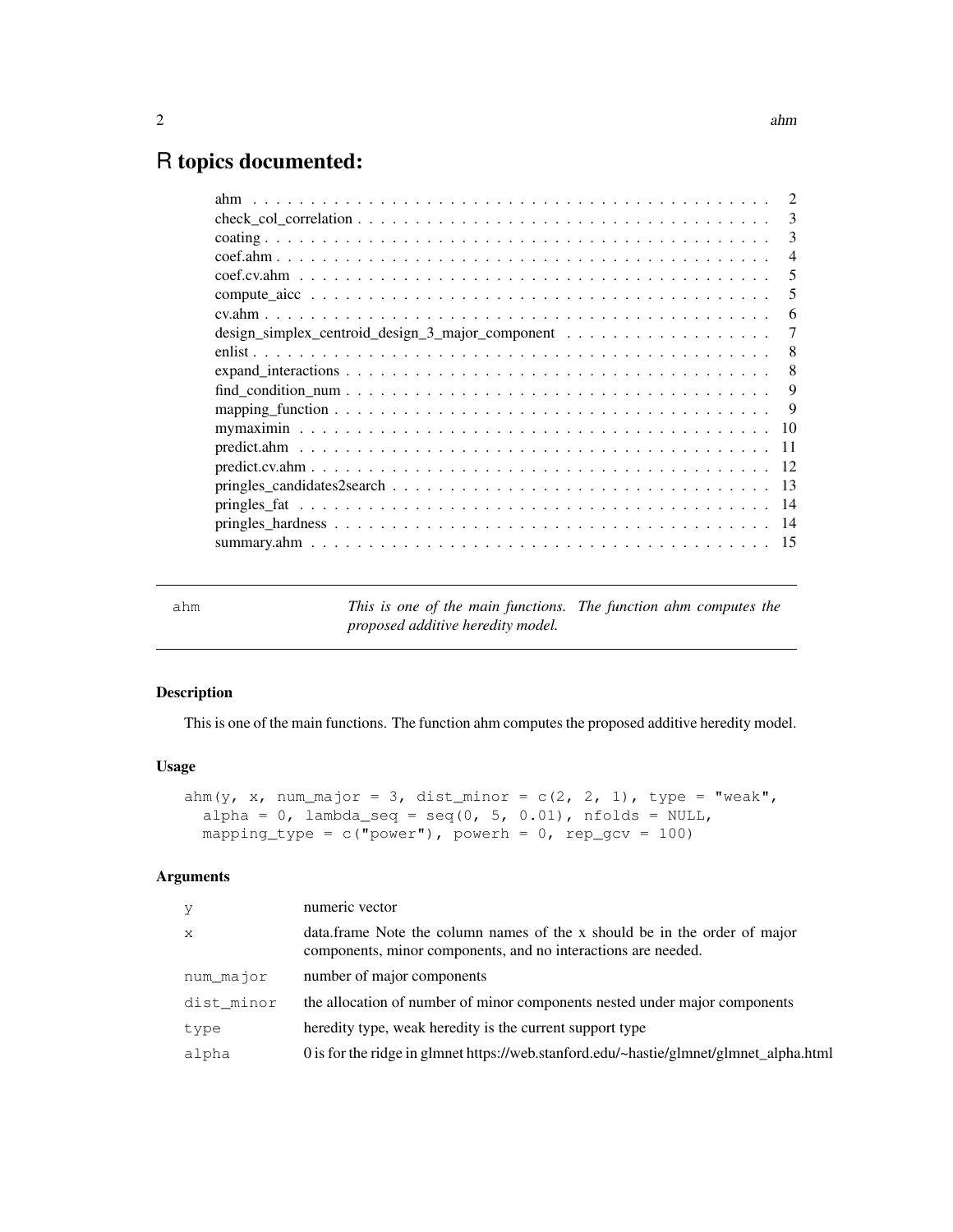## R topics documented:

| 3   |
|-----|
| 3   |
| 4   |
| 5   |
| 5   |
| 6   |
|     |
| 8   |
| 8   |
| 9   |
| 9   |
| 10  |
| 11  |
| 12  |
| 13  |
| 14  |
| -14 |
| -15 |
|     |

ahm *This is one of the main functions. The function ahm computes the proposed additive heredity model.*

## Description

This is one of the main functions. The function ahm computes the proposed additive heredity model.

## Usage

```
ahm(y, x, num_major = 3, dist_minor = c(2, 2, 1), type = "weak",
  alpha = 0, lambda_seq = seq(0, 5, 0.01), nfolds = NULL,
 mapping_type = c("power"), powerh = 0, rep_gcv = 100)
```
## Arguments

| y          | numeric vector                                                                                                                             |
|------------|--------------------------------------------------------------------------------------------------------------------------------------------|
| X          | data.frame Note the column names of the x should be in the order of major<br>components, minor components, and no interactions are needed. |
| num major  | number of major components                                                                                                                 |
| dist_minor | the allocation of number of minor components nested under major components                                                                 |
| type       | heredity type, weak heredity is the current support type                                                                                   |
| alpha      | 0 is for the ridge in glmnet https://web.stanford.edu/~hastie/glmnet/glmnet_alpha.html                                                     |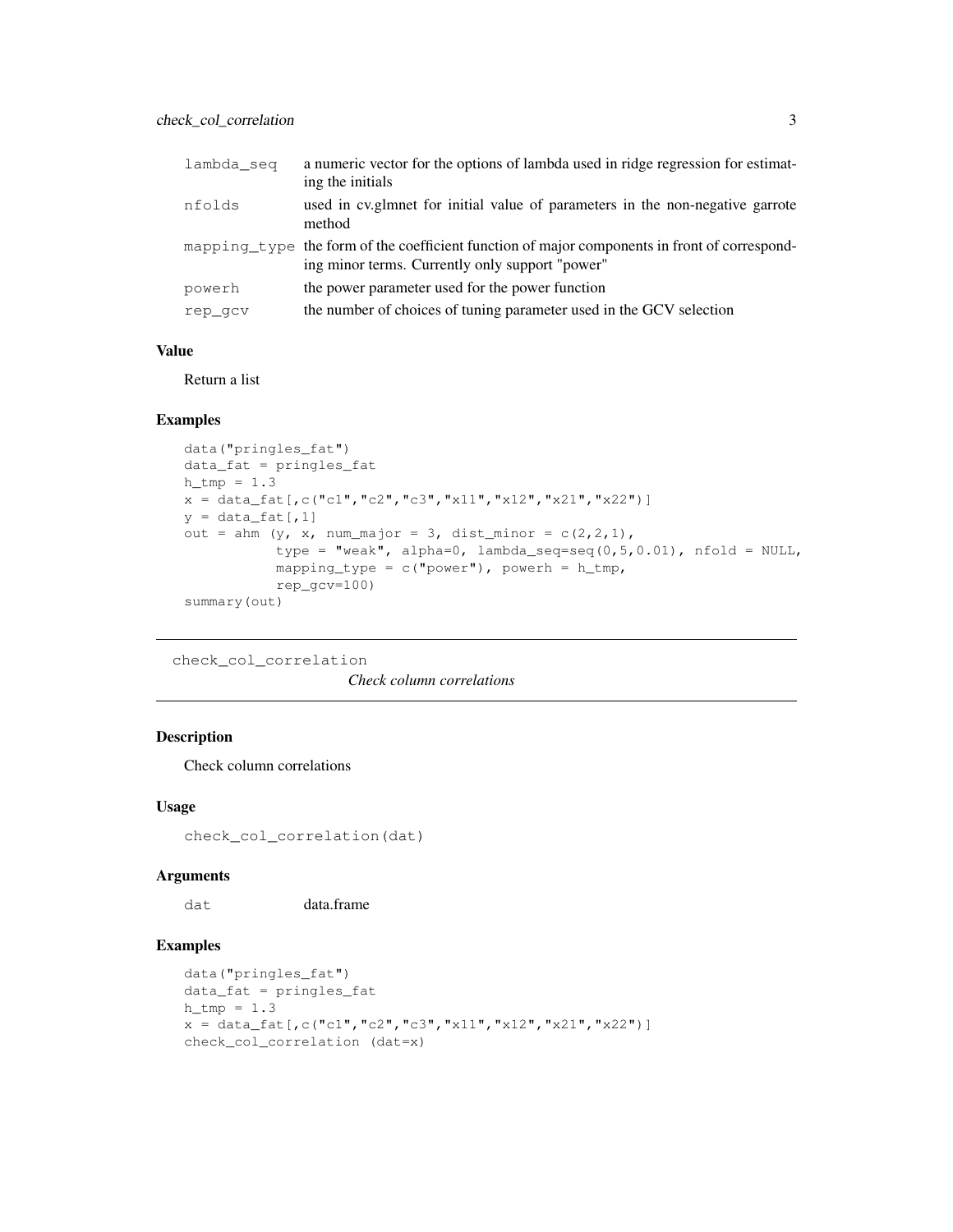| lambda seq | a numeric vector for the options of lambda used in ridge regression for estimat-<br>ing the initials                                             |
|------------|--------------------------------------------------------------------------------------------------------------------------------------------------|
| nfolds     | used in cylenmet for initial value of parameters in the non-negative garrote<br>method                                                           |
|            | mapping type the form of the coefficient function of major components in front of correspond-<br>ing minor terms. Currently only support "power" |
| powerh     | the power parameter used for the power function                                                                                                  |
| rep qcv    | the number of choices of tuning parameter used in the GCV selection                                                                              |

## Value

Return a list

## Examples

```
data("pringles_fat")
data_fat = pringles_fat
h_tmp = 1.3x = data_fat[,c("c1", "c2", "c3", "x11", "x12", "x21", "x22")]y = data_fat[, 1]out = ahm (y, x, num\_major = 3, dist\_minor = c(2,2,1),type = "weak", alpha=0, lambda_seq=seq(0,5,0.01), nfold = NULL,
           mapping_type = c("power"), powerh = h_tmp,rep_gcv=100)
summary(out)
```

```
check_col_correlation
```
*Check column correlations*

## Description

Check column correlations

## Usage

check\_col\_correlation(dat)

#### Arguments

dat data.frame

```
data("pringles_fat")
data_fat = pringles_fat
h_tmp = 1.3x = data_fat[,c("c1","c2","c3","x11","x12","x21","x22")]
check_col_correlation (dat=x)
```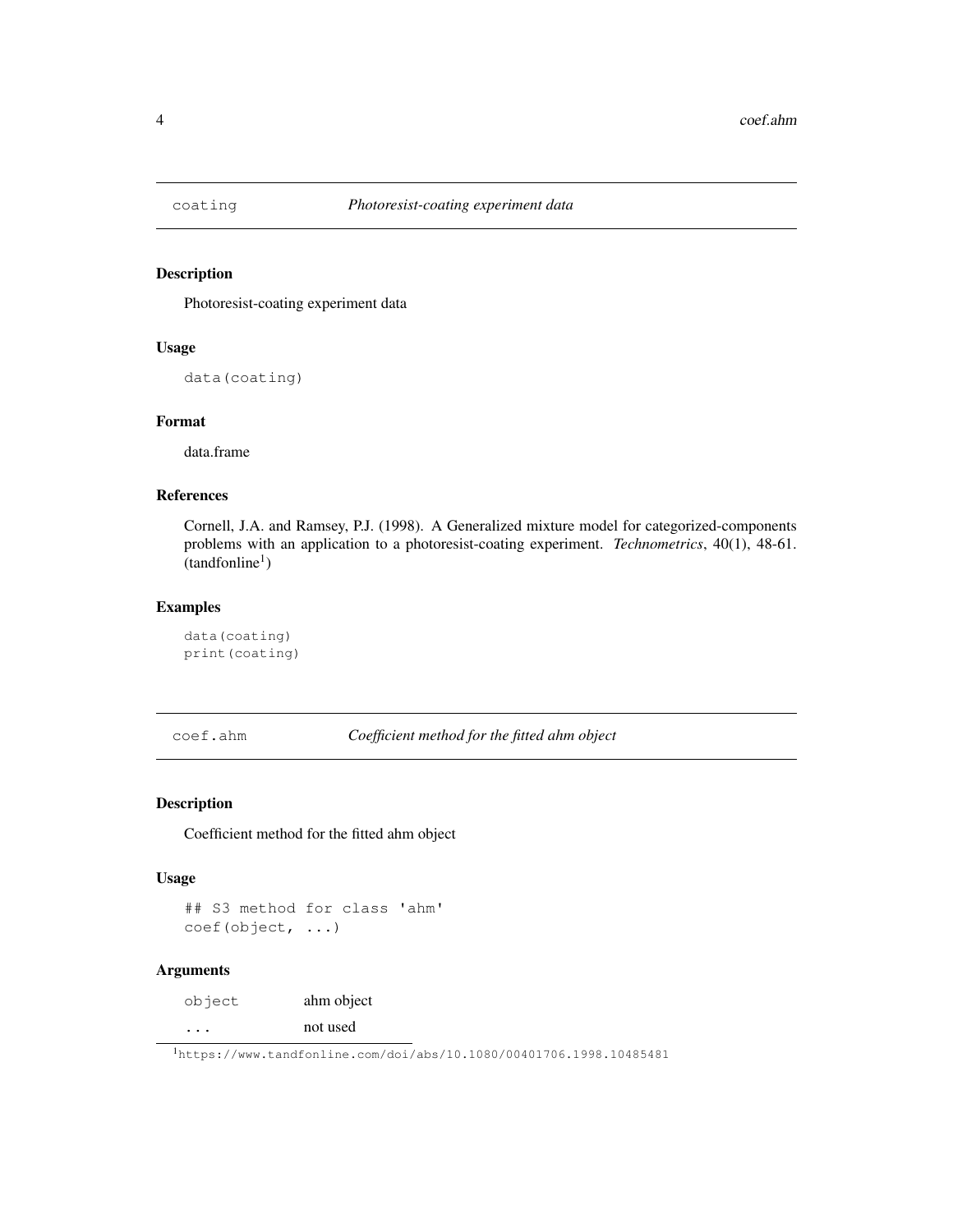## Description

Photoresist-coating experiment data

#### Usage

data(coating)

#### Format

data.frame

## References

Cornell, J.A. and Ramsey, P.J. (1998). A Generalized mixture model for categorized-components problems with an application to a photoresist-coating experiment. *Technometrics*, 40(1), 48-61.  $(tandfonline<sup>1</sup>)$ 

## Examples

```
data(coating)
print(coating)
```
coef.ahm *Coefficient method for the fitted ahm object*

## Description

Coefficient method for the fitted ahm object

#### Usage

```
## S3 method for class 'ahm'
coef(object, ...)
```
## Arguments

object ahm object ... not used

<sup>1</sup>https://www.tandfonline.com/doi/abs/10.1080/00401706.1998.10485481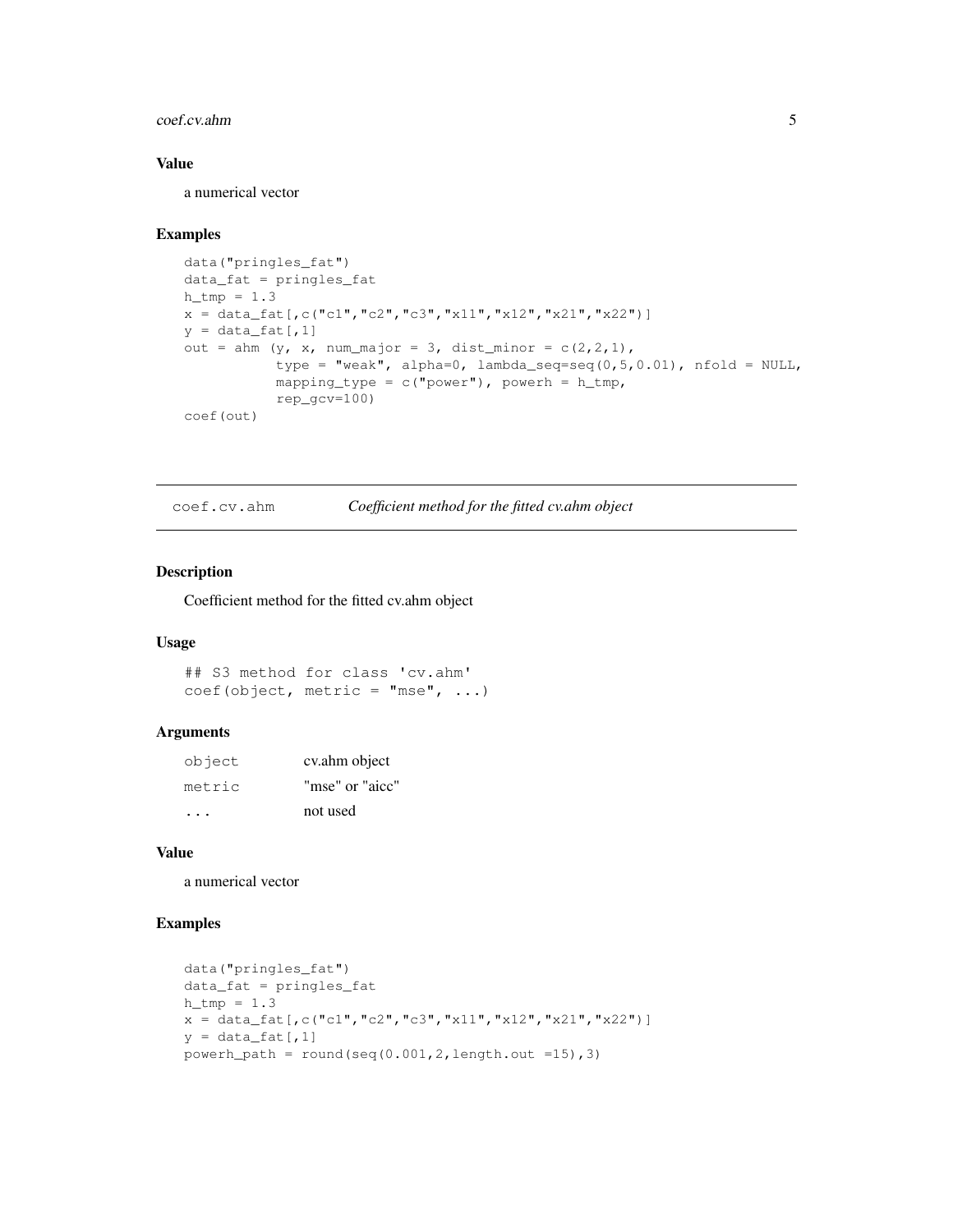#### coef.cv.ahm 5

#### Value

a numerical vector

#### Examples

```
data("pringles_fat")
data_fat = pringles_fat
h_{th} = 1.3x = data_fat[,c("c1","c2","c3","x11","x12","x21","x22")]
y = data_fat[, 1]out = ahm (y, x, num\_major = 3, dist\_minor = c(2,2,1),type = "weak", alpha=0, lambda_seq=seq(0,5,0.01), nfold = NULL,
           mapping_type = c("power"), powerh = h_tmp,rep_gcv=100)
coef(out)
```
coef.cv.ahm *Coefficient method for the fitted cv.ahm object*

## Description

Coefficient method for the fitted cv.ahm object

## Usage

```
## S3 method for class 'cv.ahm'
coef(object, metric = "mse", ...)
```
## Arguments

| object | cv.ahm object   |
|--------|-----------------|
| metric | "mse" or "aicc" |
|        | not used        |

#### Value

a numerical vector

```
data("pringles_fat")
data_fat = pringles_fat
h_{th} = 1.3x = data_fat[,c("c1", "c2", "c3", "x11", "x12", "x21", "x22")]y = data_fat[, 1]powerh_path = round(seq(0.001, 2, length.out =15),3)
```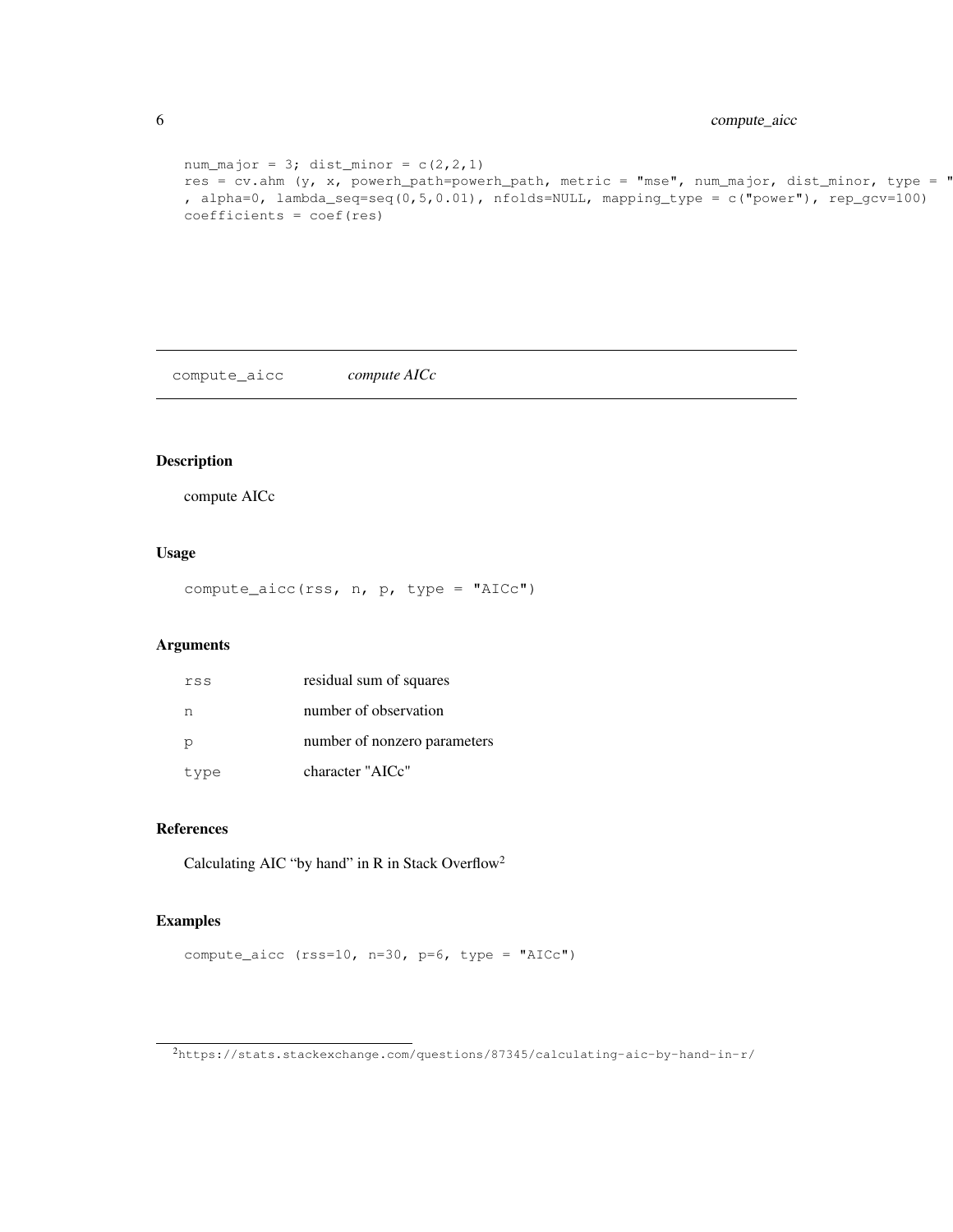```
num_major = 3; dist_minor = c(2, 2, 1)res = cv.ahm (y, x, powerh_path=powerh_path, metric = "mse", num_major, dist_minor, type = "
, alpha=0, lambda_seq=seq(0,5,0.01), nfolds=NULL, mapping_type = c("power"), rep_gcv=100)
coefficients = coef(res)
```
compute\_aicc *compute AICc*

## Description

compute AICc

#### Usage

compute\_aicc(rss, n, p, type = "AICc")

#### Arguments

| rss  | residual sum of squares      |
|------|------------------------------|
| n    | number of observation        |
| p    | number of nonzero parameters |
| type | character "AICc"             |

## References

Calculating AIC "by hand" in R in Stack Overflow<sup>2</sup>

## Examples

compute\_aicc (rss=10, n=30, p=6, type = "AICc")

<sup>2</sup>https://stats.stackexchange.com/questions/87345/calculating-aic-by-hand-in-r/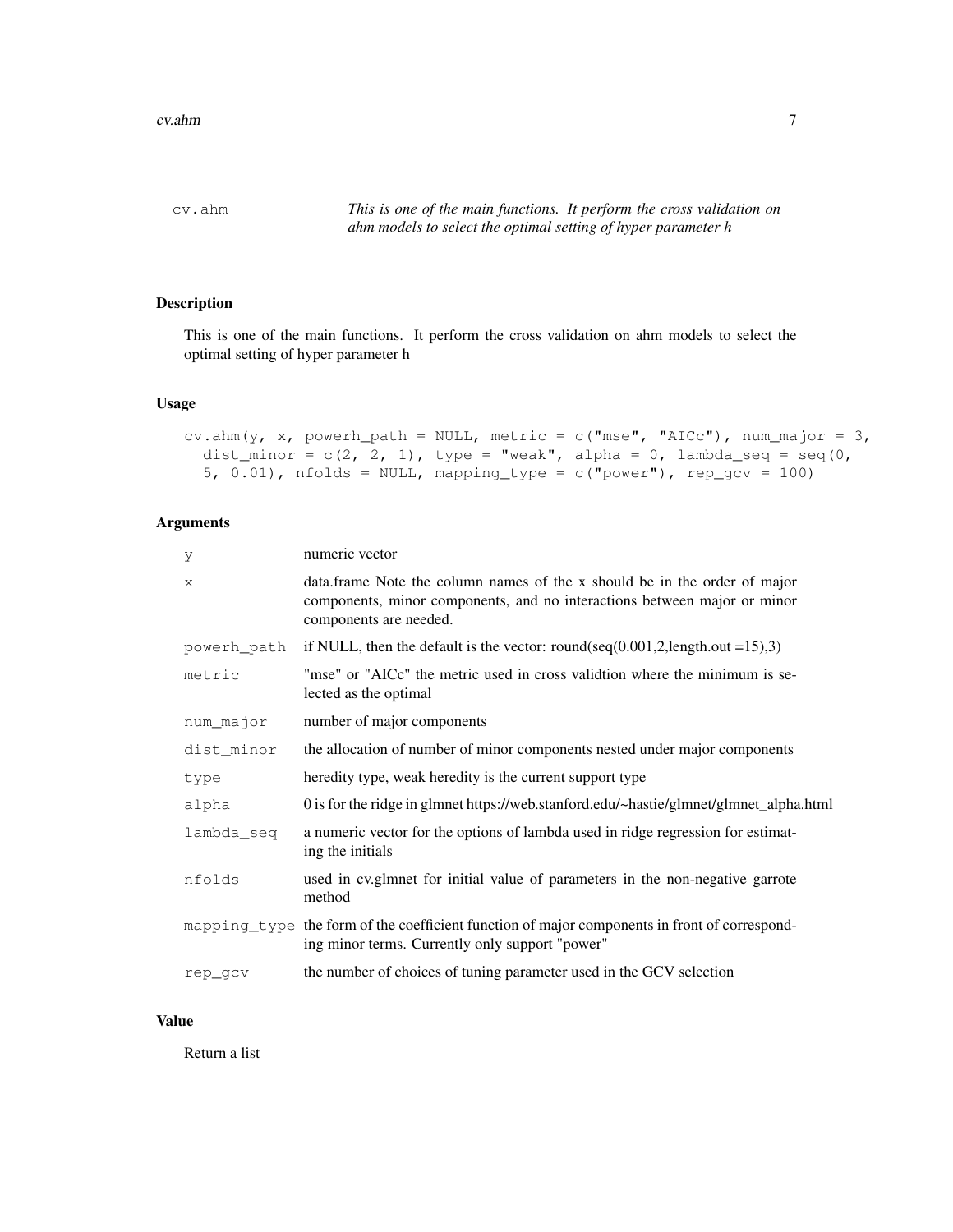cv.ahm *This is one of the main functions. It perform the cross validation on ahm models to select the optimal setting of hyper parameter h*

## Description

This is one of the main functions. It perform the cross validation on ahm models to select the optimal setting of hyper parameter h

## Usage

```
cv.ahm(y, x, powerh_path = NULL, metric = c("mse", "AICc"), num_major = 3,
  dist_minor = c(2, 2, 1), type = "weak", alpha = 0, lambda_seq = seq(0,
  5, 0.01), nfolds = NULL, mapping_type = c("power"), rep_gcv = 100)
```
## Arguments

| У           | numeric vector                                                                                                                                                                  |
|-------------|---------------------------------------------------------------------------------------------------------------------------------------------------------------------------------|
| X           | data.frame Note the column names of the x should be in the order of major<br>components, minor components, and no interactions between major or minor<br>components are needed. |
| powerh_path | if NULL, then the default is the vector: round(seq(0.001,2,length.out =15),3)                                                                                                   |
| metric      | "mse" or "AICc" the metric used in cross validtion where the minimum is se-<br>lected as the optimal                                                                            |
| num_major   | number of major components                                                                                                                                                      |
| dist minor  | the allocation of number of minor components nested under major components                                                                                                      |
| type        | heredity type, weak heredity is the current support type                                                                                                                        |
| alpha       | 0 is for the ridge in glmnet https://web.stanford.edu/~hastie/glmnet/glmnet_alpha.html                                                                                          |
| lambda_seq  | a numeric vector for the options of lambda used in ridge regression for estimat-<br>ing the initials                                                                            |
| nfolds      | used in cv.glmnet for initial value of parameters in the non-negative garrote<br>method                                                                                         |
|             | mapping type the form of the coefficient function of major components in front of correspond-<br>ing minor terms. Currently only support "power"                                |
| rep_gcv     | the number of choices of tuning parameter used in the GCV selection                                                                                                             |
|             |                                                                                                                                                                                 |

### Value

Return a list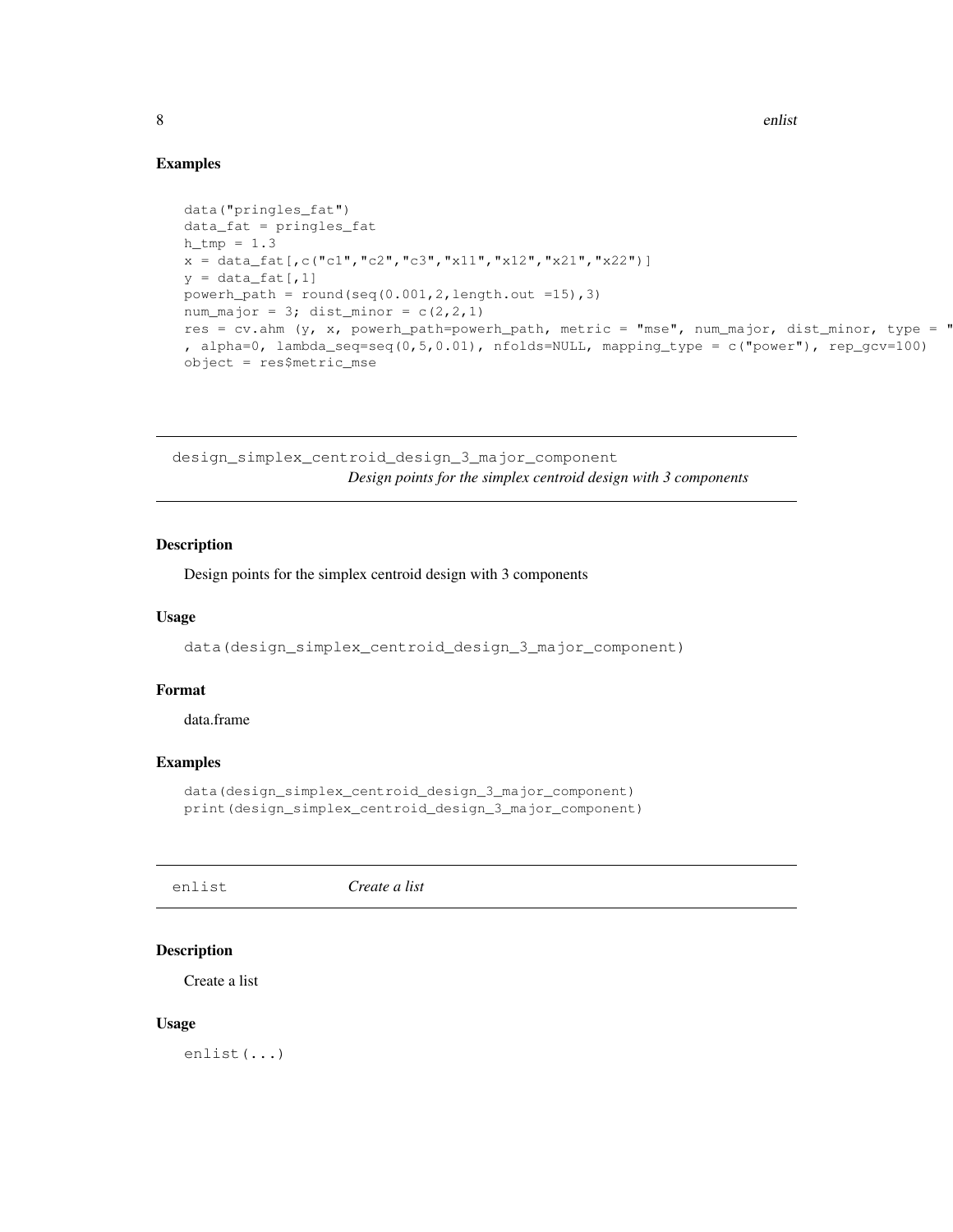## Examples

```
data("pringles_fat")
data_fat = pringles_fat
h_tmp = 1.3x = data_fat[,c("c1","c2","c3","x11","x12","x21","x22")]
y = data_fat[, 1]powerh_path = round(seq(0.001, 2,length.out =15),3)
num_major = 3; dist_minor = c(2, 2, 1)res = cv.ahm (y, x, powerh_path=powerh_path, metric = "mse", num_major, dist_minor, type = "
, alpha=0, lambda_seq=seq(0,5,0.01), nfolds=NULL, mapping_type = c("power"), rep_gcv=100)
object = res$metric_mse
```
design\_simplex\_centroid\_design\_3\_major\_component *Design points for the simplex centroid design with 3 components*

## Description

Design points for the simplex centroid design with 3 components

#### Usage

data(design\_simplex\_centroid\_design\_3\_major\_component)

#### Format

data.frame

#### Examples

```
data(design_simplex_centroid_design_3_major_component)
print(design_simplex_centroid_design_3_major_component)
```
enlist *Create a list*

## Description

Create a list

#### Usage

enlist(...)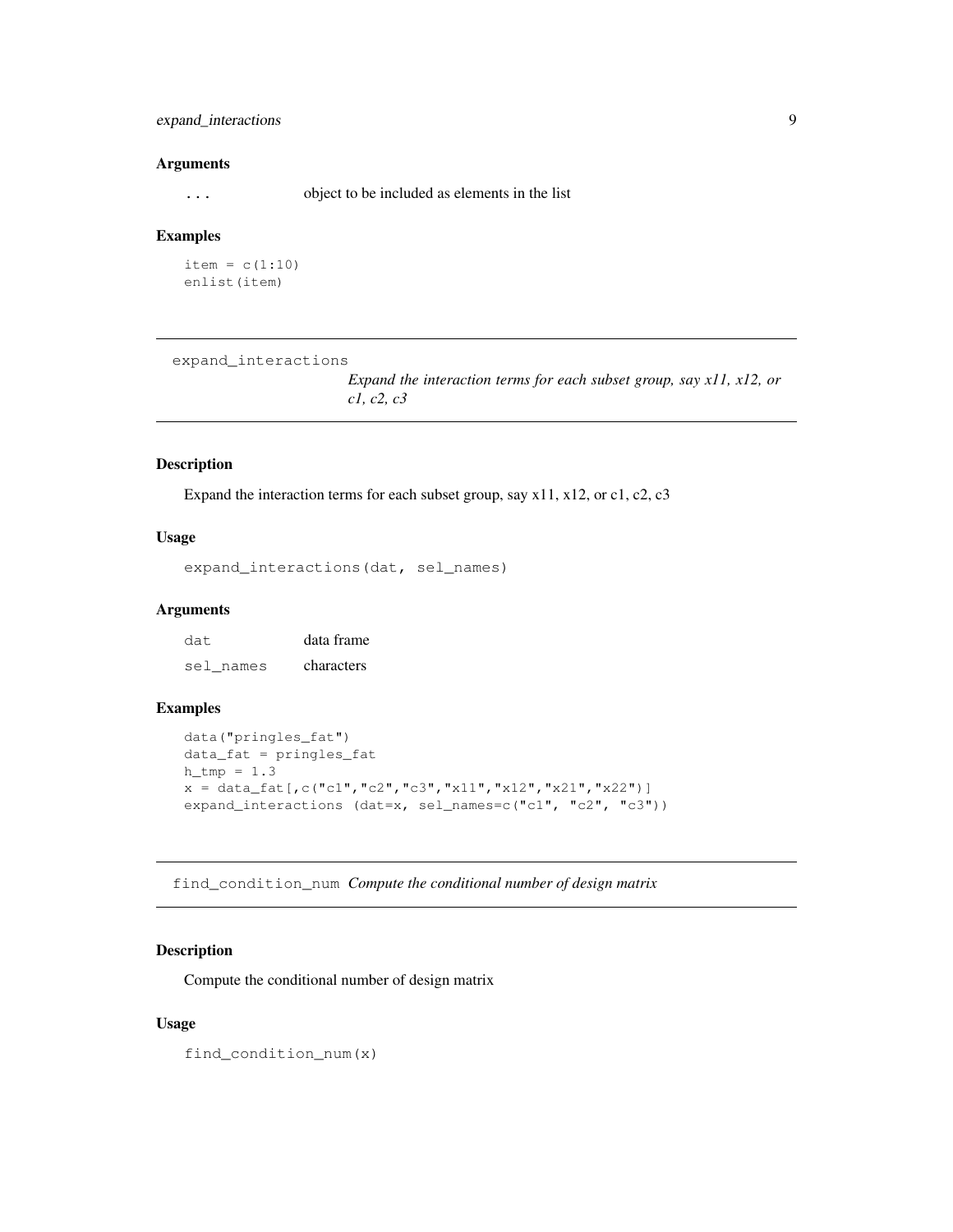## expand\_interactions 9

#### **Arguments**

... object to be included as elements in the list

#### Examples

```
item = c(1:10)
enlist(item)
```
expand\_interactions

*Expand the interaction terms for each subset group, say x11, x12, or c1, c2, c3*

#### Description

Expand the interaction terms for each subset group, say x11, x12, or c1, c2, c3

## Usage

expand\_interactions(dat, sel\_names)

#### Arguments

dat data frame sel names characters

#### Examples

```
data("pringles_fat")
data_fat = pringles_fat
h_{th} = 1.3x = data_fat[,c("c1", "c2", "c3", "x11", "x12", "x21", "x22")]expand_interactions (dat=x, sel_names=c("c1", "c2", "c3"))
```
find\_condition\_num *Compute the conditional number of design matrix*

## Description

Compute the conditional number of design matrix

#### Usage

find\_condition\_num(x)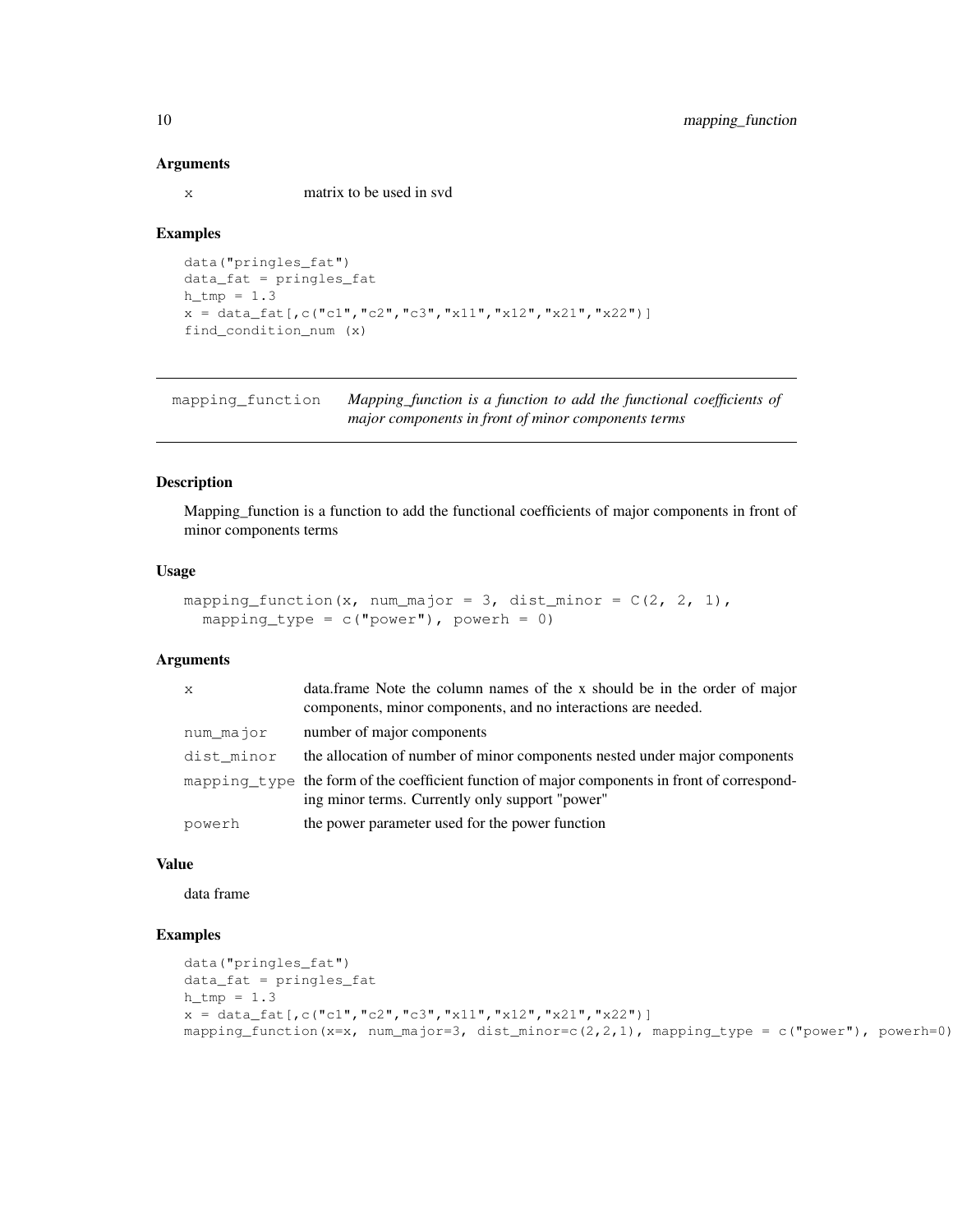#### **Arguments**

x matrix to be used in svd

#### Examples

```
data("pringles_fat")
data_fat = pringles_fat
h tmp = 1.3x = data_fat[,c("c1","c2","c3","x11","x12","x21","x22")]
find_condition_num (x)
```
mapping\_function *Mapping\_function is a function to add the functional coefficients of major components in front of minor components terms*

## Description

Mapping\_function is a function to add the functional coefficients of major components in front of minor components terms

#### Usage

```
mapping_function(x, num_major = 3, dist_minor = C(2, 2, 1),
  mapping_type = c("power"), powerh = 0)
```
#### Arguments

| $\mathbf{x}$ | data. frame Note the column names of the x should be in the order of major<br>components, minor components, and no interactions are needed.      |
|--------------|--------------------------------------------------------------------------------------------------------------------------------------------------|
| num_major    | number of major components                                                                                                                       |
| dist_minor   | the allocation of number of minor components nested under major components                                                                       |
|              | mapping type the form of the coefficient function of major components in front of correspond-<br>ing minor terms. Currently only support "power" |
| powerh       | the power parameter used for the power function                                                                                                  |

## Value

data frame

```
data("pringles_fat")
data_fat = pringles_fat
h_{tmp} = 1.3x = data_fat[,c("c1", "c2", "c3", "x11", "x12", "x21", "x22"mapping_function(x=x, num_major=3, dist_minor=c(2,2,1), mapping_type = c("power"), powerh=0)
```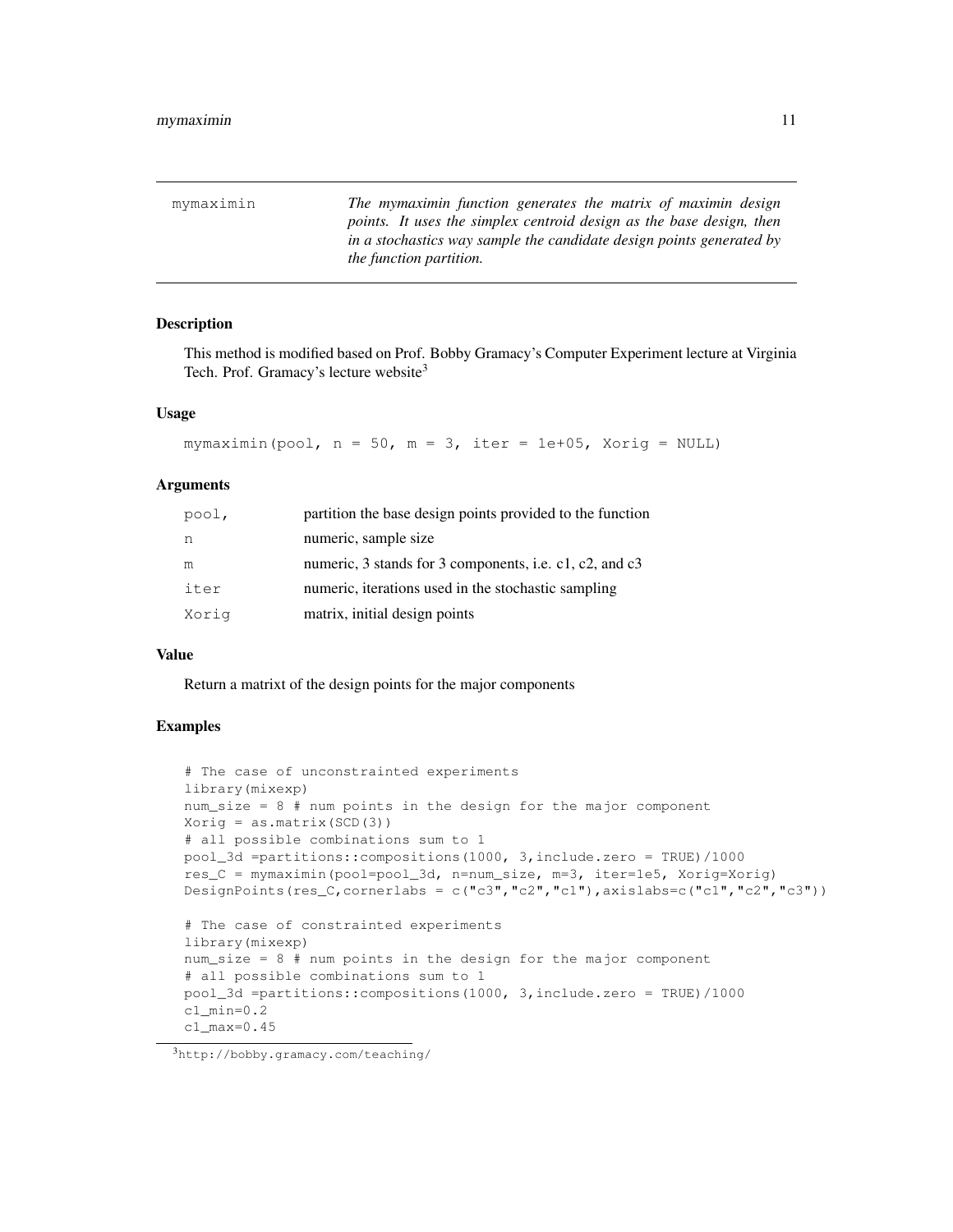mymaximin *The mymaximin function generates the matrix of maximin design points. It uses the simplex centroid design as the base design, then in a stochastics way sample the candidate design points generated by the function partition.*

#### Description

This method is modified based on Prof. Bobby Gramacy's Computer Experiment lecture at Virginia Tech. Prof. Gramacy's lecture website<sup>3</sup>

#### Usage

```
mymaximin(pool, n = 50, m = 3, iter = 1e+05, Xorig = NULL)
```
#### Arguments

| pool, | partition the base design points provided to the function |
|-------|-----------------------------------------------------------|
| n     | numeric, sample size                                      |
| m     | numeric, 3 stands for 3 components, i.e. c1, c2, and c3   |
| iter  | numeric, iterations used in the stochastic sampling       |
| Xoriq | matrix, initial design points                             |

#### Value

Return a matrixt of the design points for the major components

```
# The case of unconstrainted experiments
library(mixexp)
num_size = 8 # num points in the design for the major component
Xorig = as.matrix(SCD(3))# all possible combinations sum to 1
pool_3d =partitions::compositions(1000, 3,include.zero = TRUE)/1000
res_C = mymaximin(pool=pool_3d, n=num_size, m=3, iter=1e5, Xorig=Xorig)
DesignPoints(res_C,cornerlabs = c("c3","c2","c1"),axislabs=c("c1","c2","c3"))
# The case of constrainted experiments
library(mixexp)
num_size = 8 # num points in the design for the major component
# all possible combinations sum to 1
pool_3d =partitions::compositions(1000, 3,include.zero = TRUE)/1000
c1_min=0.2
c1_max=0.45
```
<sup>3</sup>http://bobby.gramacy.com/teaching/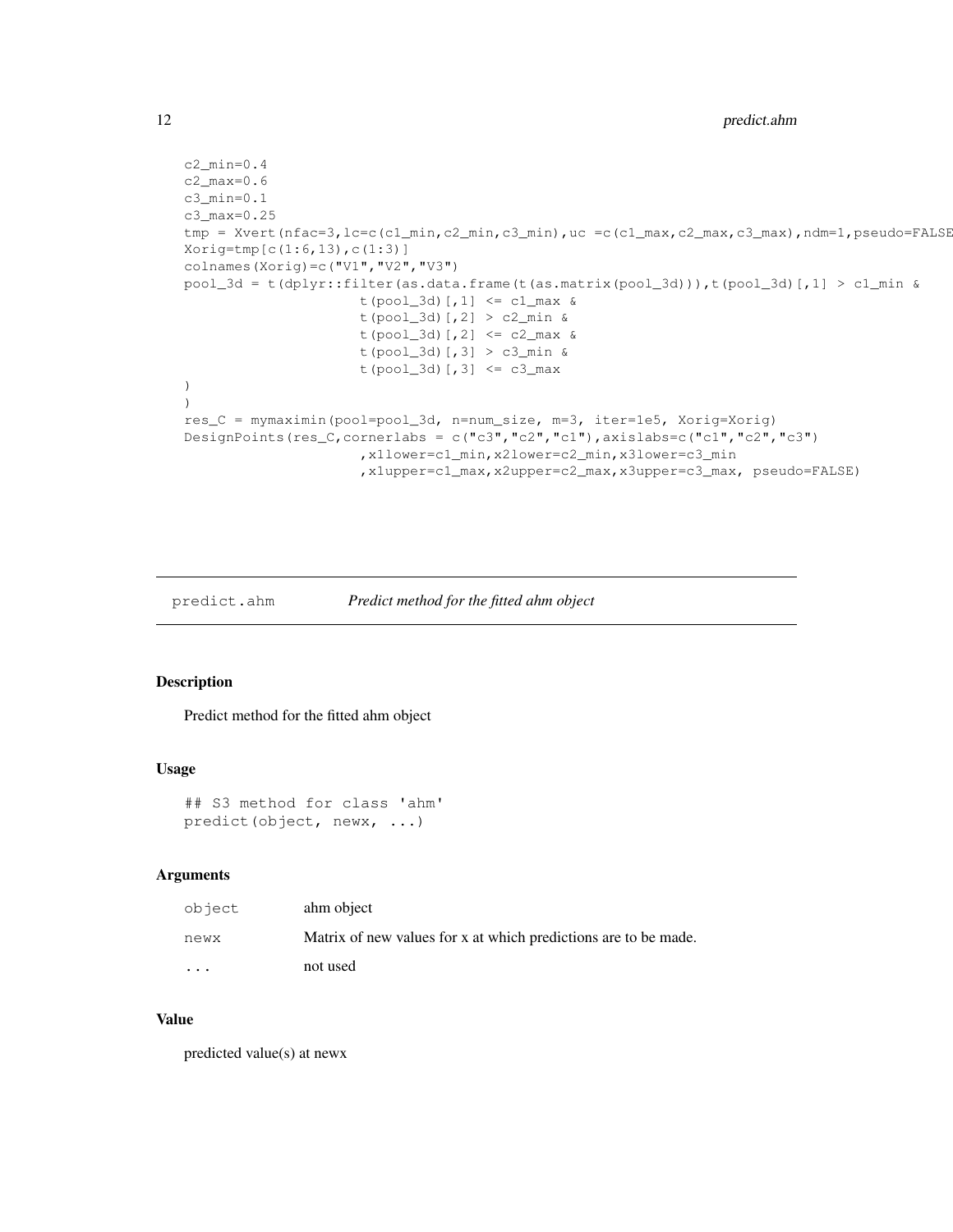```
c2_min=0.4
c2_max=0.6
c3_min=0.1
c3_max=0.25
tmp = Xvert(nfac=3, lc=c(c1_min,c2_min,c3_min),uc =c(c1_max,c2_max,c3_max),ndm=1,pseudo=FALSE
Xorig=tmp[c(1:6,13),c(1:3)]
colnames(Xorig)=c("V1","V2","V3")
pool_3d = t(dplyr::filter(as.data.frame(t(as.matrix(pool_3d))),t(pool_3d)[,1] > c1_min &
                     t(pool_3d)[,1] <= c1_max &
                     t(pool_3d)[,2] > c2_min &
                     t(pool_3d)[,2] <= c2_max &
                     t(pool_3d)[,3] > c3_min &
                     t(pool_3d) [, 3] <= c3_max)
)
res_C = mymaximin(pool=pool_3d, n=num_size, m=3, iter=1e5, Xorig=Xorig)
DesignPoints(res_C,cornerlabs = c("c3","c2","c1"),axislabs=c("c1","c2","c3")
                     ,x1lower=c1_min,x2lower=c2_min,x3lower=c3_min
                     ,x1upper=c1_max,x2upper=c2_max,x3upper=c3_max, pseudo=FALSE)
```
predict.ahm *Predict method for the fitted ahm object*

#### Description

Predict method for the fitted ahm object

### Usage

```
## S3 method for class 'ahm'
predict(object, newx, ...)
```
#### Arguments

| object                  | ahm object                                                      |
|-------------------------|-----------------------------------------------------------------|
| newx                    | Matrix of new values for x at which predictions are to be made. |
| $\cdot$ $\cdot$ $\cdot$ | not used                                                        |

## Value

predicted value(s) at newx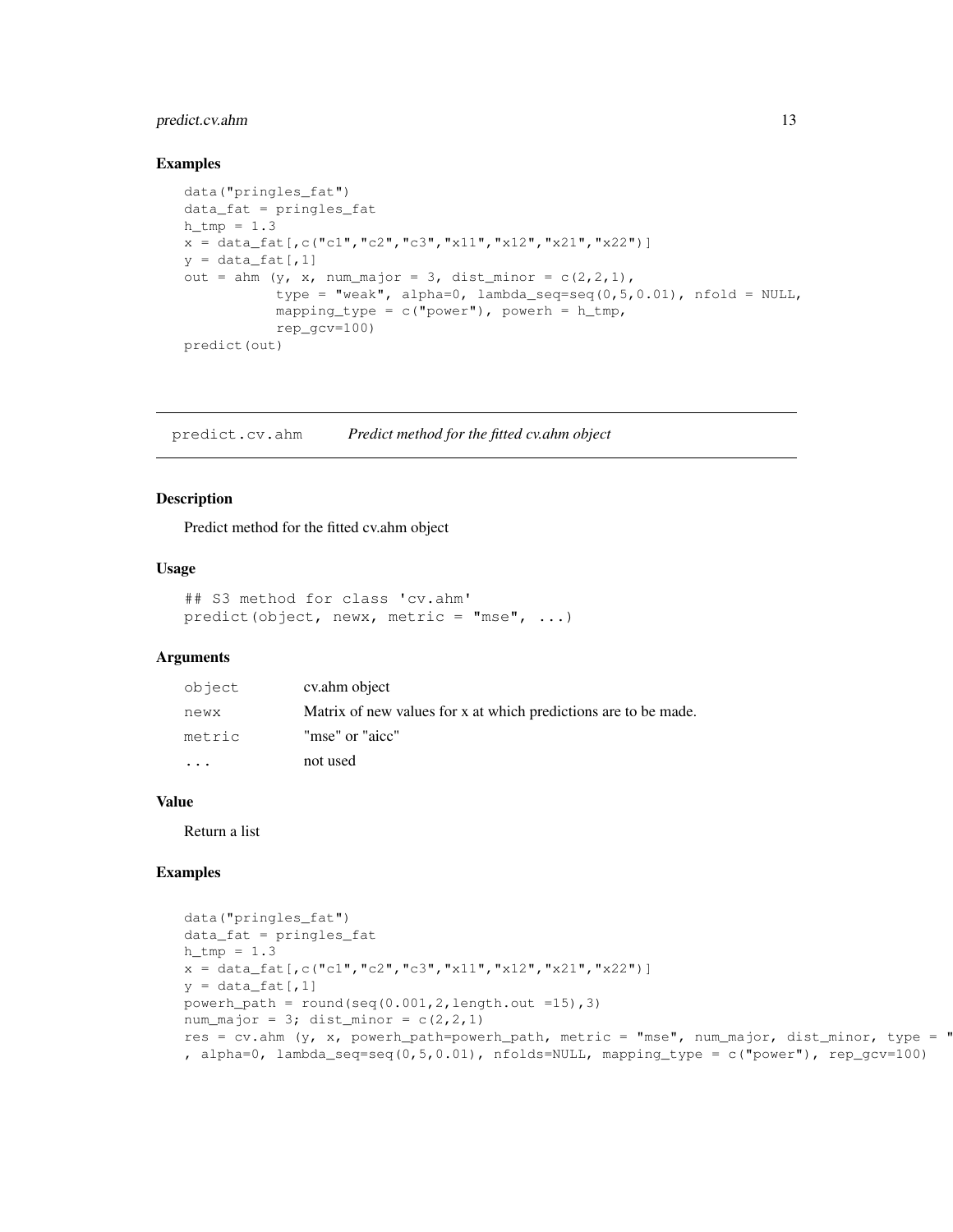## predict.cv.ahm 13

#### Examples

```
data("pringles_fat")
data_fat = pringles_fat
h_tmp = 1.3x = data_fat[,c("c1", "c2", "c3", "x11", "x12", "x21", "x22")]y = data_fat[, 1]out = ahm (y, x, num\_major = 3, dist\_minor = c(2,2,1),
           type = "weak", alpha=0, lambda_seq=seq(0,5,0.01), nfold = NULL,mapping_type = c("power"), powerh = h_tmp,rep_gcv=100)
predict(out)
```
predict.cv.ahm *Predict method for the fitted cv.ahm object*

### Description

Predict method for the fitted cv.ahm object

#### Usage

```
## S3 method for class 'cv.ahm'
predict(object, newx, metric = "mse", ...)
```
## Arguments

| object                  | cv.ahm object                                                   |
|-------------------------|-----------------------------------------------------------------|
| newx                    | Matrix of new values for x at which predictions are to be made. |
| metric                  | "mse" or "aicc"                                                 |
| $\cdot$ $\cdot$ $\cdot$ | not used                                                        |

#### Value

Return a list

```
data("pringles_fat")
data_fat = pringles_fat
h_{th} = 1.3x = data_fat[,c("c1", "c2", "c3", "x11", "x12", "x21", "x22")]y = data_fat[, 1]powerh_path = round(seq(0.001, 2, length.out = 15), 3)num_major = 3; dist_minor = c(2,2,1)res = cv.ahm (y, x, powerh_path=powerh_path, metric = "mse", num_major, dist_minor, type = "
, alpha=0, lambda_seq=seq(0,5,0.01), nfolds=NULL, mapping_type = c("power"), rep_gcv=100)
```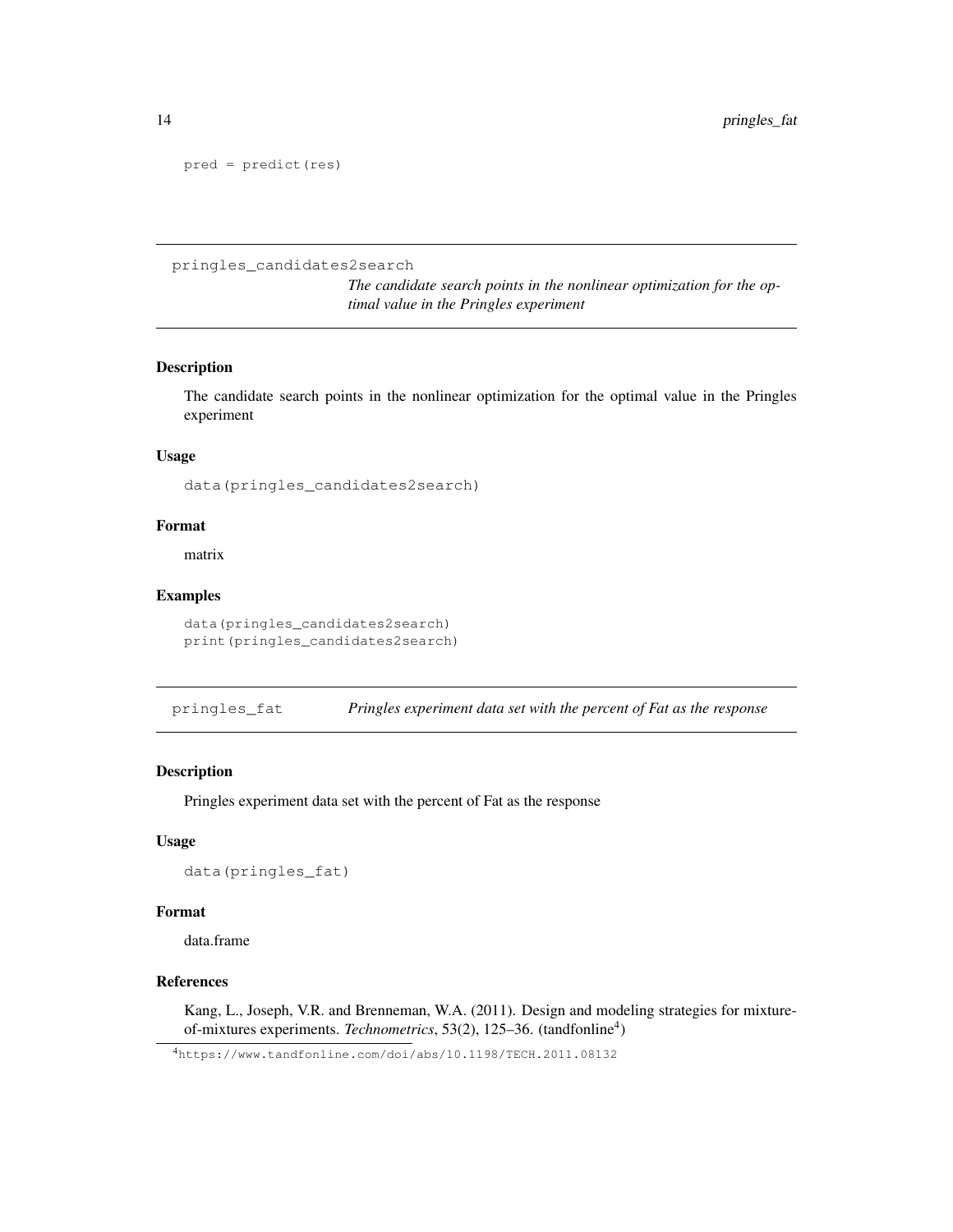```
pred = predict(res)
```
pringles\_candidates2search

*The candidate search points in the nonlinear optimization for the optimal value in the Pringles experiment*

## Description

The candidate search points in the nonlinear optimization for the optimal value in the Pringles experiment

#### Usage

data(pringles\_candidates2search)

#### Format

matrix

#### Examples

data(pringles\_candidates2search) print(pringles\_candidates2search)

pringles\_fat *Pringles experiment data set with the percent of Fat as the response*

#### Description

Pringles experiment data set with the percent of Fat as the response

#### Usage

data(pringles\_fat)

#### Format

data.frame

#### References

Kang, L., Joseph, V.R. and Brenneman, W.A. (2011). Design and modeling strategies for mixtureof-mixtures experiments. *Technometrics*, 53(2), 125-36. (tandfonline<sup>4</sup>)

<sup>4</sup>https://www.tandfonline.com/doi/abs/10.1198/TECH.2011.08132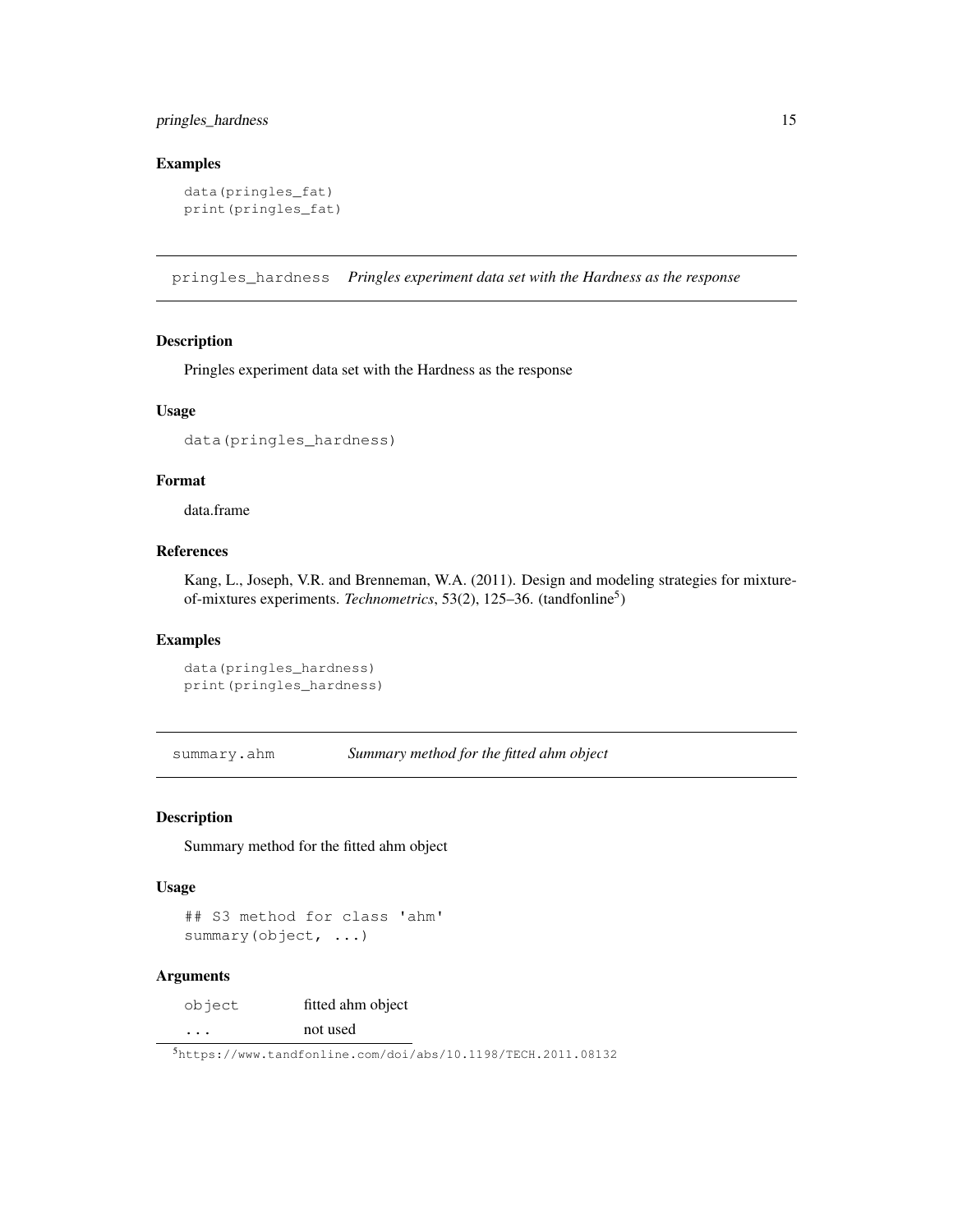## pringles\_hardness 15

## Examples

```
data(pringles_fat)
print(pringles_fat)
```
pringles\_hardness *Pringles experiment data set with the Hardness as the response*

## Description

Pringles experiment data set with the Hardness as the response

## Usage

```
data(pringles_hardness)
```
## Format

data.frame

## References

Kang, L., Joseph, V.R. and Brenneman, W.A. (2011). Design and modeling strategies for mixtureof-mixtures experiments. *Technometrics*, 53(2), 125–36. (tandfonline<sup>5</sup>)

## Examples

```
data(pringles_hardness)
print(pringles_hardness)
```
summary.ahm *Summary method for the fitted ahm object*

#### Description

Summary method for the fitted ahm object

#### Usage

```
## S3 method for class 'ahm'
summary(object, ...)
```
## Arguments

object fitted ahm object ... not used

<sup>5</sup>https://www.tandfonline.com/doi/abs/10.1198/TECH.2011.08132